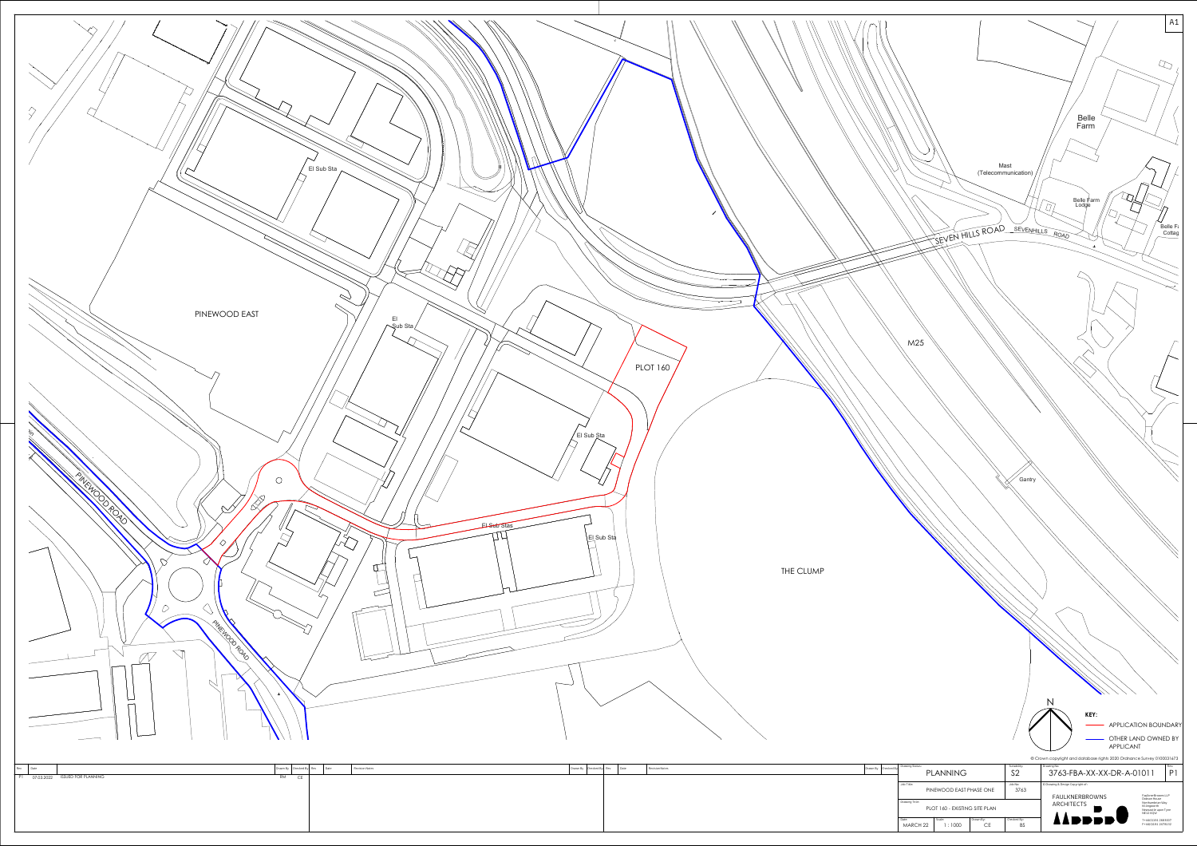

| Drawn By Checked By Rev |  | Date | Revision Notes | Drawn By | Checked By |
|-------------------------|--|------|----------------|----------|------------|
|                         |  |      |                |          |            |
|                         |  |      |                |          |            |
|                         |  |      |                |          |            |
|                         |  |      |                |          |            |
|                         |  |      |                |          |            |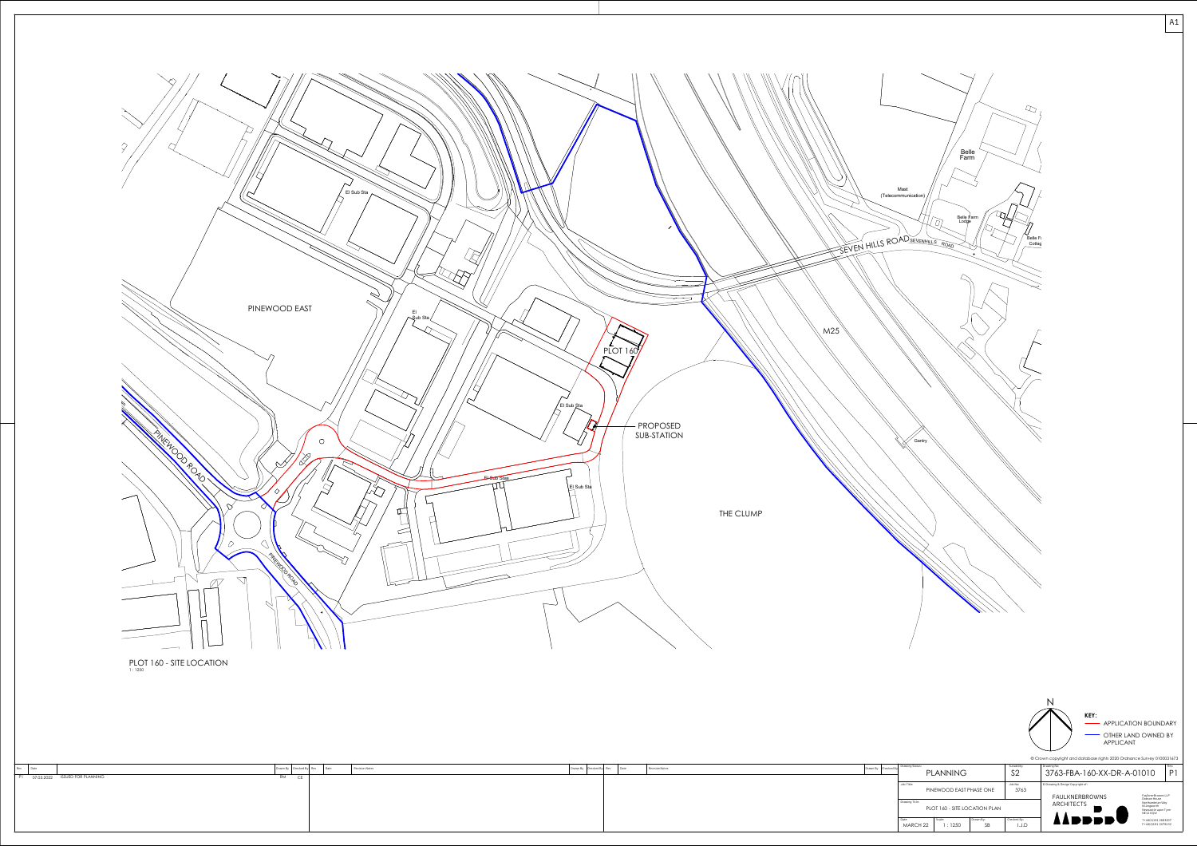

Rev Date

 $|A1|$ 

| Drawn By Checked By Rev | Date | Revision Notes |  | $ $ Drawn By $ $ Checked By Drawing Status: | PLANNING                   |           |
|-------------------------|------|----------------|--|---------------------------------------------|----------------------------|-----------|
|                         |      |                |  |                                             |                            |           |
|                         |      |                |  | Job Title:                                  |                            |           |
|                         |      |                |  |                                             | PINEWOOD EAST PHASE ON     |           |
|                         |      |                |  | Drawing Title:                              |                            |           |
|                         |      |                |  |                                             | PLOT 160 - SITE LOCATION I |           |
|                         |      |                |  | Date:                                       | Scale:                     | Drawn By: |
|                         |      |                |  | MARCH 22                                    | 1:1250                     | SB        |
|                         |      |                |  |                                             |                            |           |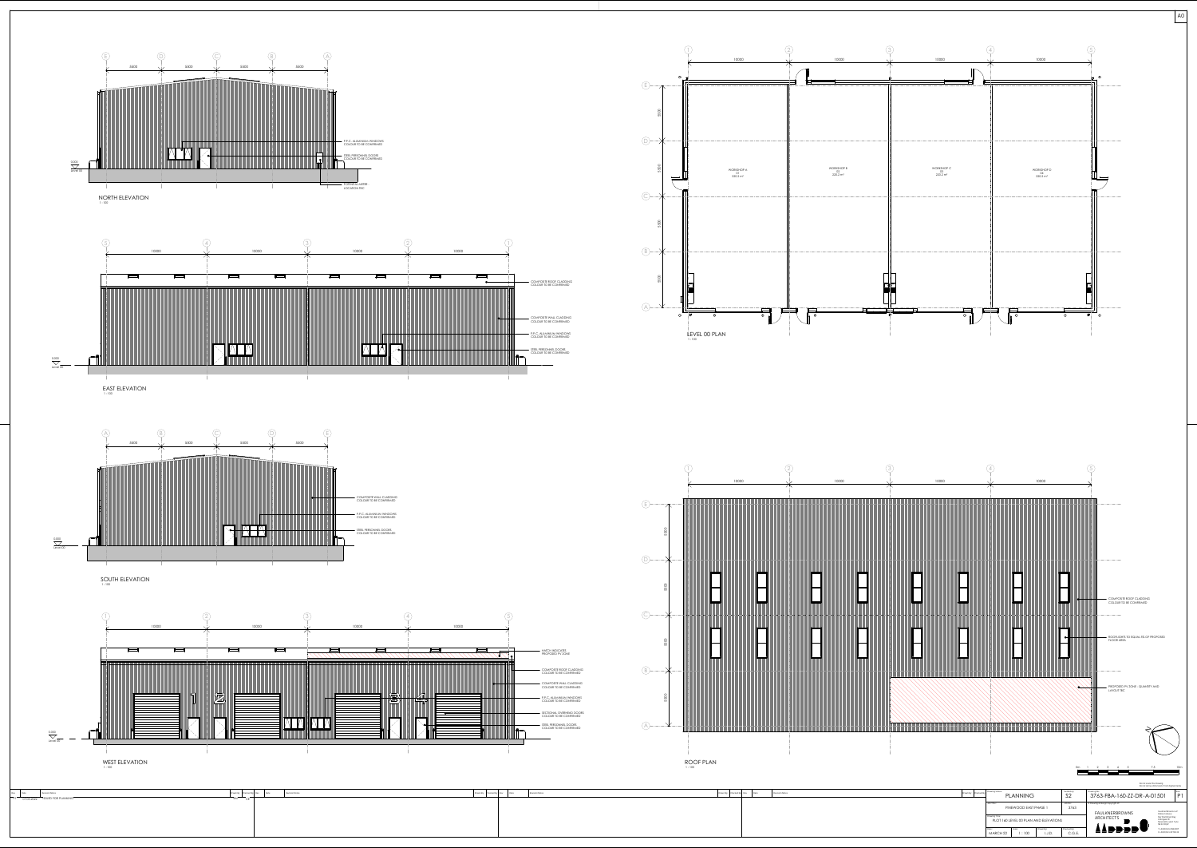





| Drawn By Checked By Rev |  | Date | Revision Notes |
|-------------------------|--|------|----------------|
|                         |  |      |                |
|                         |  |      |                |
|                         |  |      |                |
|                         |  |      |                |
|                         |  |      |                |
|                         |  |      |                |

T+44(0)191 2683007 F+44(0)191 2478132

**AADDDDV** 

 $|$  AO  $|$ 

Date: Scale: Drawn By: Checked By:

MARCH 22 | 1:100 | I.J.D. | C.G.E.